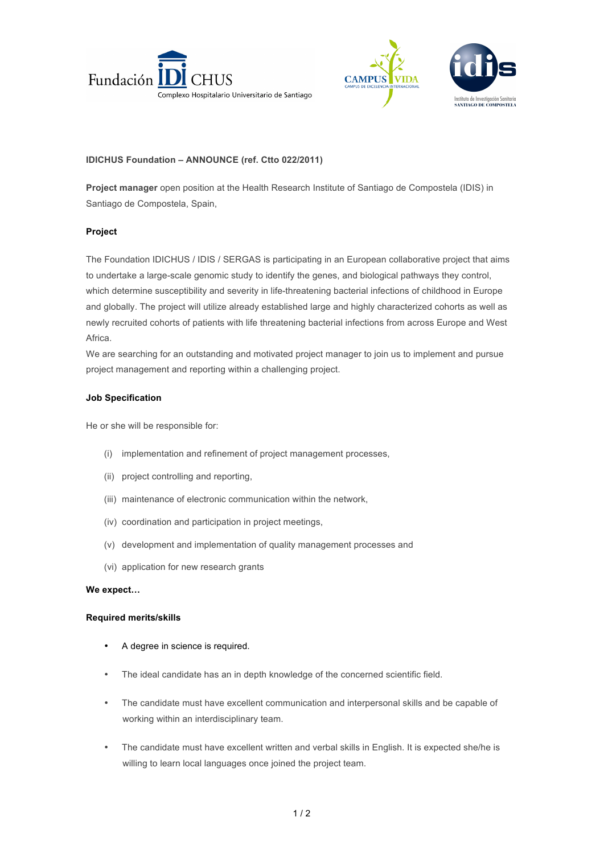



## **IDICHUS Foundation – ANNOUNCE (ref. Ctto 022/2011)**

**Project manager** open position at the Health Research Institute of Santiago de Compostela (IDIS) in Santiago de Compostela, Spain,

### **Project**

The Foundation IDICHUS / IDIS / SERGAS is participating in an European collaborative project that aims to undertake a large-scale genomic study to identify the genes, and biological pathways they control, which determine susceptibility and severity in life-threatening bacterial infections of childhood in Europe and globally. The project will utilize already established large and highly characterized cohorts as well as newly recruited cohorts of patients with life threatening bacterial infections from across Europe and West Africa.

We are searching for an outstanding and motivated project manager to join us to implement and pursue project management and reporting within a challenging project.

### **Job Specification**

He or she will be responsible for:

- (i) implementation and refinement of project management processes,
- (ii) project controlling and reporting,
- (iii) maintenance of electronic communication within the network,
- (iv) coordination and participation in project meetings,
- (v) development and implementation of quality management processes and
- (vi) application for new research grants

### **We expect…**

### **Required merits/skills**

- A degree in science is required.
- The ideal candidate has an in depth knowledge of the concerned scientific field.
- The candidate must have excellent communication and interpersonal skills and be capable of working within an interdisciplinary team.
- The candidate must have excellent written and verbal skills in English. It is expected she/he is willing to learn local languages once joined the project team.